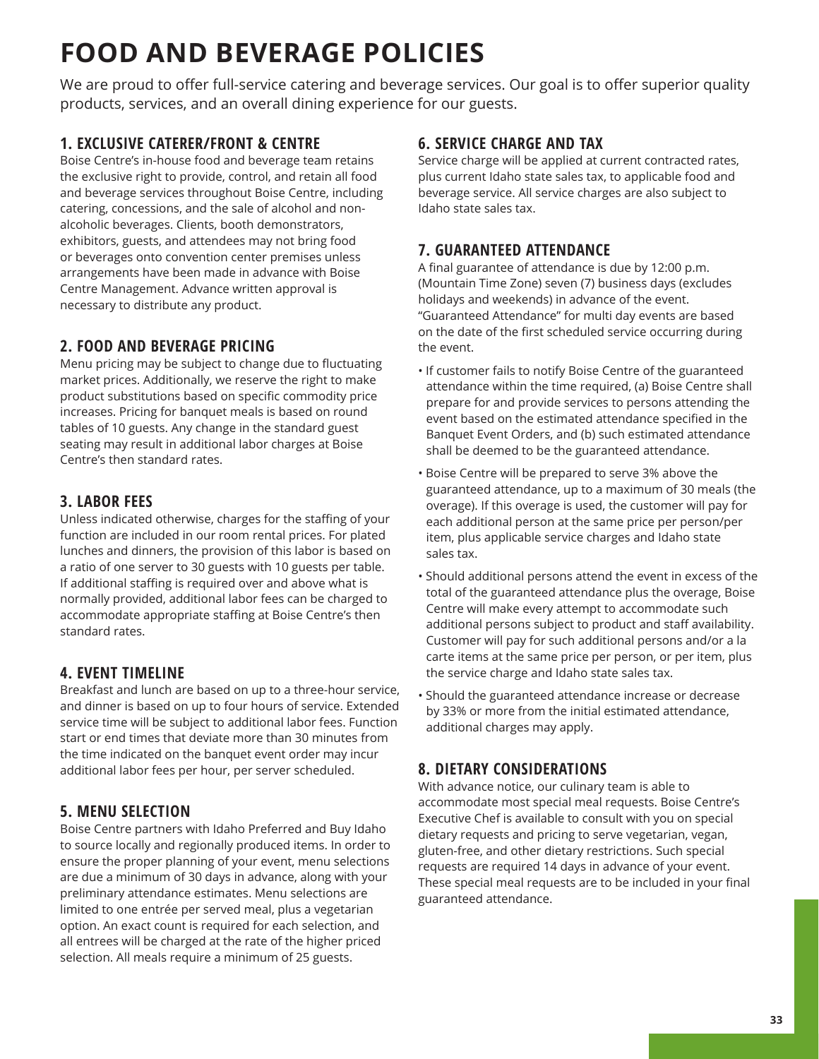# **FOOD AND BEVERAGE POLICIES**

We are proud to offer full-service catering and beverage services. Our goal is to offer superior quality products, services, and an overall dining experience for our guests.

## **1. EXCLUSIVE CATERER/FRONT & CENTRE**

Boise Centre's in-house food and beverage team retains the exclusive right to provide, control, and retain all food and beverage services throughout Boise Centre, including catering, concessions, and the sale of alcohol and nonalcoholic beverages. Clients, booth demonstrators, exhibitors, guests, and attendees may not bring food or beverages onto convention center premises unless arrangements have been made in advance with Boise Centre Management. Advance written approval is necessary to distribute any product.

### **2. FOOD AND BEVERAGE PRICING**

Menu pricing may be subject to change due to fluctuating market prices. Additionally, we reserve the right to make product substitutions based on specific commodity price increases. Pricing for banquet meals is based on round tables of 10 guests. Any change in the standard guest seating may result in additional labor charges at Boise Centre's then standard rates.

## **3. LABOR FEES**

Unless indicated otherwise, charges for the staffing of your function are included in our room rental prices. For plated lunches and dinners, the provision of this labor is based on a ratio of one server to 30 guests with 10 guests per table. If additional staffing is required over and above what is normally provided, additional labor fees can be charged to accommodate appropriate staffing at Boise Centre's then standard rates.

## **4. EVENT TIMELINE**

Breakfast and lunch are based on up to a three-hour service, and dinner is based on up to four hours of service. Extended service time will be subject to additional labor fees. Function start or end times that deviate more than 30 minutes from the time indicated on the banquet event order may incur additional labor fees per hour, per server scheduled.

## **5. MENU SELECTION**

Boise Centre partners with Idaho Preferred and Buy Idaho to source locally and regionally produced items. In order to ensure the proper planning of your event, menu selections are due a minimum of 30 days in advance, along with your preliminary attendance estimates. Menu selections are limited to one entrée per served meal, plus a vegetarian option. An exact count is required for each selection, and all entrees will be charged at the rate of the higher priced selection. All meals require a minimum of 25 guests.

#### **6. SERVICE CHARGE AND TAX**

Service charge will be applied at current contracted rates, plus current Idaho state sales tax, to applicable food and beverage service. All service charges are also subject to Idaho state sales tax.

## **7. GUARANTEED ATTENDANCE**

A final guarantee of attendance is due by 12:00 p.m. (Mountain Time Zone) seven (7) business days (excludes holidays and weekends) in advance of the event. "Guaranteed Attendance" for multi day events are based on the date of the first scheduled service occurring during the event.

- If customer fails to notify Boise Centre of the guaranteed attendance within the time required, (a) Boise Centre shall prepare for and provide services to persons attending the event based on the estimated attendance specified in the Banquet Event Orders, and (b) such estimated attendance shall be deemed to be the guaranteed attendance.
- Boise Centre will be prepared to serve 3% above the guaranteed attendance, up to a maximum of 30 meals (the overage). If this overage is used, the customer will pay for each additional person at the same price per person/per item, plus applicable service charges and Idaho state sales tax.
- Should additional persons attend the event in excess of the total of the guaranteed attendance plus the overage, Boise Centre will make every attempt to accommodate such additional persons subject to product and staff availability. Customer will pay for such additional persons and/or a la carte items at the same price per person, or per item, plus the service charge and Idaho state sales tax.
- Should the guaranteed attendance increase or decrease by 33% or more from the initial estimated attendance, additional charges may apply.

## **8. DIETARY CONSIDERATIONS**

With advance notice, our culinary team is able to accommodate most special meal requests. Boise Centre's Executive Chef is available to consult with you on special dietary requests and pricing to serve vegetarian, vegan, gluten-free, and other dietary restrictions. Such special requests are required 14 days in advance of your event. These special meal requests are to be included in your final guaranteed attendance.